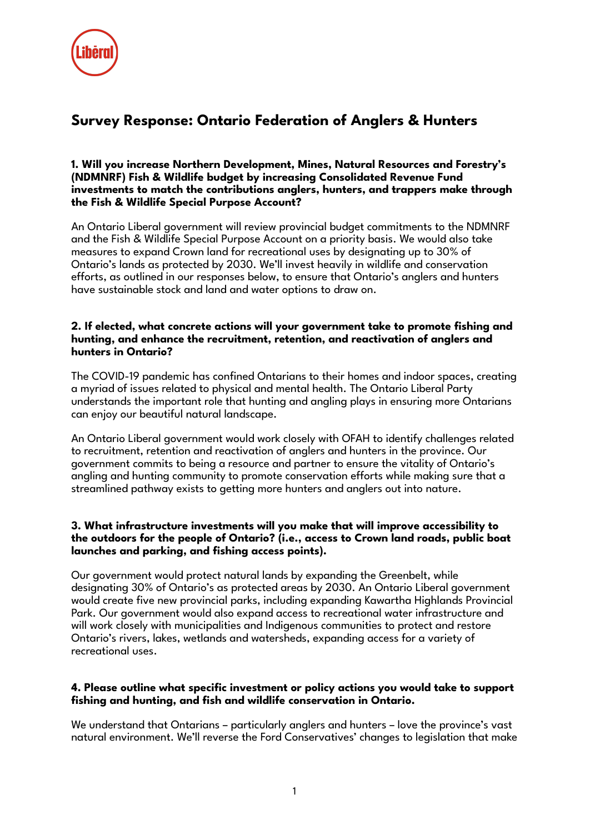

# **Survey Response: Ontario Federation of Anglers & Hunters**

### **1. Will you increase Northern Development, Mines, Natural Resources and Forestry's (NDMNRF) Fish & Wildlife budget by increasing Consolidated Revenue Fund investments to match the contributions anglers, hunters, and trappers make through the Fish & Wildlife Special Purpose Account?**

An Ontario Liberal government will review provincial budget commitments to the NDMNRF and the Fish & Wildlife Special Purpose Account on a priority basis. We would also take measures to expand Crown land for recreational uses by designating up to 30% of Ontario's lands as protected by 2030. We'll invest heavily in wildlife and conservation efforts, as outlined in our responses below, to ensure that Ontario's anglers and hunters have sustainable stock and land and water options to draw on.

#### **2. If elected, what concrete actions will your government take to promote fishing and hunting, and enhance the recruitment, retention, and reactivation of anglers and hunters in Ontario?**

The COVID-19 pandemic has confined Ontarians to their homes and indoor spaces, creating a myriad of issues related to physical and mental health. The Ontario Liberal Party understands the important role that hunting and angling plays in ensuring more Ontarians can enjoy our beautiful natural landscape.

An Ontario Liberal government would work closely with OFAH to identify challenges related to recruitment, retention and reactivation of anglers and hunters in the province. Our government commits to being a resource and partner to ensure the vitality of Ontario's angling and hunting community to promote conservation efforts while making sure that a streamlined pathway exists to getting more hunters and anglers out into nature.

### **3. What infrastructure investments will you make that will improve accessibility to the outdoors for the people of Ontario? (i.e., access to Crown land roads, public boat launches and parking, and fishing access points).**

Our government would protect natural lands by expanding the Greenbelt, while designating 30% of Ontario's as protected areas by 2030. An Ontario Liberal government would create five new provincial parks, including expanding Kawartha Highlands Provincial Park. Our government would also expand access to recreational water infrastructure and will work closely with municipalities and Indigenous communities to protect and restore Ontario's rivers, lakes, wetlands and watersheds, expanding access for a variety of recreational uses.

## **4. Please outline what specific investment or policy actions you would take to support fishing and hunting, and fish and wildlife conservation in Ontario.**

We understand that Ontarians – particularly anglers and hunters – love the province's vast natural environment. We'll reverse the Ford Conservatives' changes to legislation that make